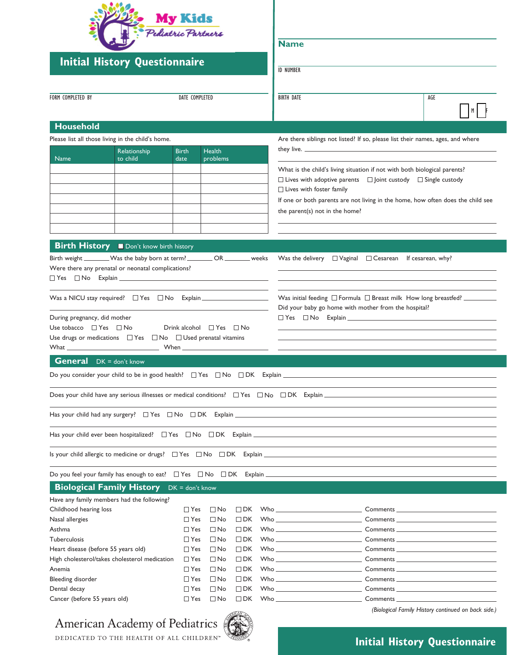| <b>Initial History Questionnaire</b>                                                                                                                                                                                                                                                                                                                                                                                                                                                                                                                                                                                                                                                                                                                                                                                                                                                                                                   | <b>My Kids</b><br>Pediatric Partners  |                                                     |  | <b>Name</b><br><b>ID NUMBER</b>                                                                                                                                                                                                                                                                                    |                                                                                |  |
|----------------------------------------------------------------------------------------------------------------------------------------------------------------------------------------------------------------------------------------------------------------------------------------------------------------------------------------------------------------------------------------------------------------------------------------------------------------------------------------------------------------------------------------------------------------------------------------------------------------------------------------------------------------------------------------------------------------------------------------------------------------------------------------------------------------------------------------------------------------------------------------------------------------------------------------|---------------------------------------|-----------------------------------------------------|--|--------------------------------------------------------------------------------------------------------------------------------------------------------------------------------------------------------------------------------------------------------------------------------------------------------------------|--------------------------------------------------------------------------------|--|
| FORM COMPLETED BY                                                                                                                                                                                                                                                                                                                                                                                                                                                                                                                                                                                                                                                                                                                                                                                                                                                                                                                      | DATE COMPLETED                        |                                                     |  | <b>BIRTH DATE</b>                                                                                                                                                                                                                                                                                                  | AGE                                                                            |  |
| <b>Household</b>                                                                                                                                                                                                                                                                                                                                                                                                                                                                                                                                                                                                                                                                                                                                                                                                                                                                                                                       |                                       |                                                     |  |                                                                                                                                                                                                                                                                                                                    |                                                                                |  |
| Please list all those living in the child's home.                                                                                                                                                                                                                                                                                                                                                                                                                                                                                                                                                                                                                                                                                                                                                                                                                                                                                      |                                       |                                                     |  |                                                                                                                                                                                                                                                                                                                    | Are there siblings not listed? If so, please list their names, ages, and where |  |
| Relationship<br><b>Name</b><br>to child                                                                                                                                                                                                                                                                                                                                                                                                                                                                                                                                                                                                                                                                                                                                                                                                                                                                                                | <b>Health</b><br><b>Birth</b><br>date | problems                                            |  | What is the child's living situation if not with both biological parents?<br>$\Box$ Lives with adoptive parents $\Box$ Joint custody $\Box$ Single custody<br>$\Box$ Lives with foster family<br>If one or both parents are not living in the home, how often does the child see<br>the parent(s) not in the home? |                                                                                |  |
| <b>Birth History</b> Don't know birth history<br>Birth weight ________Was the baby born at term? _________ OR ________ weeks<br>Were there any prenatal or neonatal complications?<br>$\Box Yes \quad \Box No \quad \text{Explain} \underline{\hspace{1cm}} \underline{\hspace{1cm}} \underline{\hspace{1cm}} \underline{\hspace{1cm}} \underline{\hspace{1cm}} \underline{\hspace{1cm}} \underline{\hspace{1cm}} \underline{\hspace{1cm}} \underline{\hspace{1cm}} \underline{\hspace{1cm}} \underline{\hspace{1cm}} \underline{\hspace{1cm}} \underline{\hspace{1cm}} \underline{\hspace{1cm}} \underline{\hspace{1cm}} \underline{\hspace{1cm}} \underline{\hspace{1cm}} \underline{\hspace{1cm}} \underline{\hspace{1cm}} \underline{\hspace{1cm}} \underline{\hspace{1cm}} \underline{\hspace{1cm}} \underline{\hspace$<br>During pregnancy, did mother<br>Use tobacco $\Box$ Yes $\Box$ No<br>Drink alcohol $\Box$ Yes $\Box$ No |                                       |                                                     |  | Was the delivery $\Box$ Vaginal $\Box$ Cesarean If cesarean, why?<br>Did your baby go home with mother from the hospital?                                                                                                                                                                                          |                                                                                |  |
| Use drugs or medications $\Box$ Yes $\Box$ No $\Box$ Used prenatal vitamins<br>What When When<br><b>General</b> DK = don't know<br>Do you consider your child to be in good health? $\Box$ Yes $\Box$ No $\Box$ DK Explain $\Box$                                                                                                                                                                                                                                                                                                                                                                                                                                                                                                                                                                                                                                                                                                      |                                       |                                                     |  |                                                                                                                                                                                                                                                                                                                    |                                                                                |  |
| Does your child have any serious illnesses or medical conditions? $\Box$ Yes $\Box$ No $\Box$ DK Explain $\Box$ DK Explain                                                                                                                                                                                                                                                                                                                                                                                                                                                                                                                                                                                                                                                                                                                                                                                                             |                                       |                                                     |  |                                                                                                                                                                                                                                                                                                                    |                                                                                |  |
|                                                                                                                                                                                                                                                                                                                                                                                                                                                                                                                                                                                                                                                                                                                                                                                                                                                                                                                                        |                                       |                                                     |  |                                                                                                                                                                                                                                                                                                                    |                                                                                |  |
|                                                                                                                                                                                                                                                                                                                                                                                                                                                                                                                                                                                                                                                                                                                                                                                                                                                                                                                                        |                                       |                                                     |  |                                                                                                                                                                                                                                                                                                                    |                                                                                |  |
|                                                                                                                                                                                                                                                                                                                                                                                                                                                                                                                                                                                                                                                                                                                                                                                                                                                                                                                                        |                                       |                                                     |  |                                                                                                                                                                                                                                                                                                                    |                                                                                |  |
| Do you feel your family has enough to eat?  □ Yes  □ No  □ DK Explain  □ No  □ DK Explain  □ DE Explain  □ DE Explain  □ DE Explain  □ DE Explain  □ DE Explain  □ DE Explain  □ DE Explain  □ DE Explain  □ DE Explain  □ DE                                                                                                                                                                                                                                                                                                                                                                                                                                                                                                                                                                                                                                                                                                          |                                       |                                                     |  |                                                                                                                                                                                                                                                                                                                    |                                                                                |  |
| <b>Biological Family History</b> DK = don't know                                                                                                                                                                                                                                                                                                                                                                                                                                                                                                                                                                                                                                                                                                                                                                                                                                                                                       |                                       |                                                     |  |                                                                                                                                                                                                                                                                                                                    |                                                                                |  |
| Have any family members had the following?                                                                                                                                                                                                                                                                                                                                                                                                                                                                                                                                                                                                                                                                                                                                                                                                                                                                                             |                                       |                                                     |  |                                                                                                                                                                                                                                                                                                                    |                                                                                |  |
| Childhood hearing loss                                                                                                                                                                                                                                                                                                                                                                                                                                                                                                                                                                                                                                                                                                                                                                                                                                                                                                                 | $\Box$ Yes                            | $\square$ No<br>$\Box$ DK                           |  |                                                                                                                                                                                                                                                                                                                    |                                                                                |  |
| Nasal allergies<br>Asthma                                                                                                                                                                                                                                                                                                                                                                                                                                                                                                                                                                                                                                                                                                                                                                                                                                                                                                              | $\Box$ Yes<br>$\Box$ Yes              | $\Box$ No<br>$\Box$ DK<br>$\square$ No<br>$\Box$ DK |  | Who _____________________________                                                                                                                                                                                                                                                                                  |                                                                                |  |
| Tuberculosis                                                                                                                                                                                                                                                                                                                                                                                                                                                                                                                                                                                                                                                                                                                                                                                                                                                                                                                           | $\Box$ Yes                            | $\Box$ No<br>$\Box$ DK                              |  |                                                                                                                                                                                                                                                                                                                    |                                                                                |  |
| Heart disease (before 55 years old)                                                                                                                                                                                                                                                                                                                                                                                                                                                                                                                                                                                                                                                                                                                                                                                                                                                                                                    | $\Box$ Yes                            | $\Box$ No<br>$\Box$ DK                              |  |                                                                                                                                                                                                                                                                                                                    |                                                                                |  |
| High cholesterol/takes cholesterol medication                                                                                                                                                                                                                                                                                                                                                                                                                                                                                                                                                                                                                                                                                                                                                                                                                                                                                          | $\Box$ Yes                            | $\Box$ No<br>$\Box$ DK                              |  |                                                                                                                                                                                                                                                                                                                    |                                                                                |  |
| Anemia                                                                                                                                                                                                                                                                                                                                                                                                                                                                                                                                                                                                                                                                                                                                                                                                                                                                                                                                 | $\Box$ Yes                            | $\Box$ No<br>$\Box$ DK                              |  | Who ____________________________                                                                                                                                                                                                                                                                                   |                                                                                |  |
| Bleeding disorder                                                                                                                                                                                                                                                                                                                                                                                                                                                                                                                                                                                                                                                                                                                                                                                                                                                                                                                      | $\Box$ Yes                            | $\Box$ No<br>$\Box$ DK                              |  | Who _____________________________                                                                                                                                                                                                                                                                                  |                                                                                |  |
| Dental decay                                                                                                                                                                                                                                                                                                                                                                                                                                                                                                                                                                                                                                                                                                                                                                                                                                                                                                                           | $\Box$ Yes                            | $\Box$ No<br>$\Box$ DK                              |  | $W$ ho $\_\_$                                                                                                                                                                                                                                                                                                      |                                                                                |  |
| Cancer (before 55 years old)                                                                                                                                                                                                                                                                                                                                                                                                                                                                                                                                                                                                                                                                                                                                                                                                                                                                                                           | $\Box$ Yes                            | $\square$ No<br>$\Box$ DK                           |  | $W$ ho $\_\_$                                                                                                                                                                                                                                                                                                      | (Biological Family History continued on back side.)                            |  |